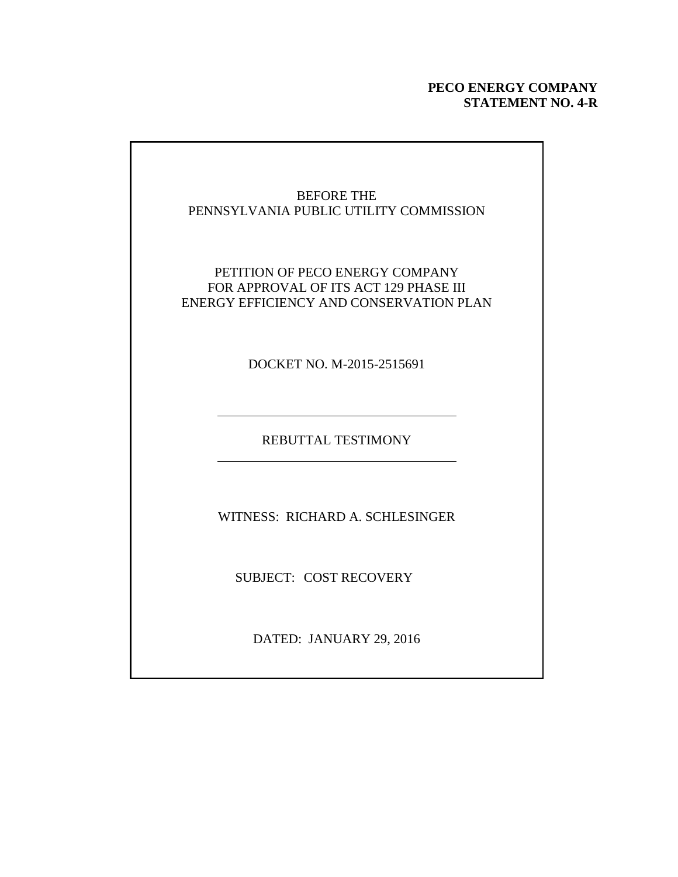## **PECO ENERGY COMPANY STATEMENT NO. 4-R**

## BEFORE THE PENNSYLVANIA PUBLIC UTILITY COMMISSION PETITION OF PECO ENERGY COMPANY FOR APPROVAL OF ITS ACT 129 PHASE III ENERGY EFFICIENCY AND CONSERVATION PLAN DOCKET NO. M-2015-2515691 REBUTTAL TESTIMONY WITNESS: RICHARD A. SCHLESINGER SUBJECT: COST RECOVERY DATED: JANUARY 29, 2016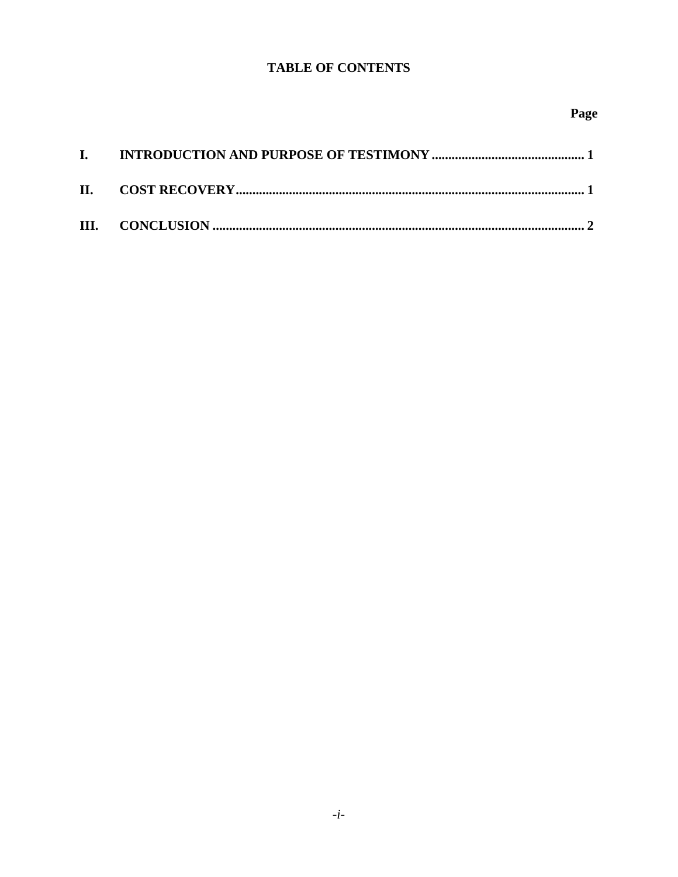## **TABLE OF CONTENTS**

| $\mathbf{I}$ |  |
|--------------|--|
|              |  |
|              |  |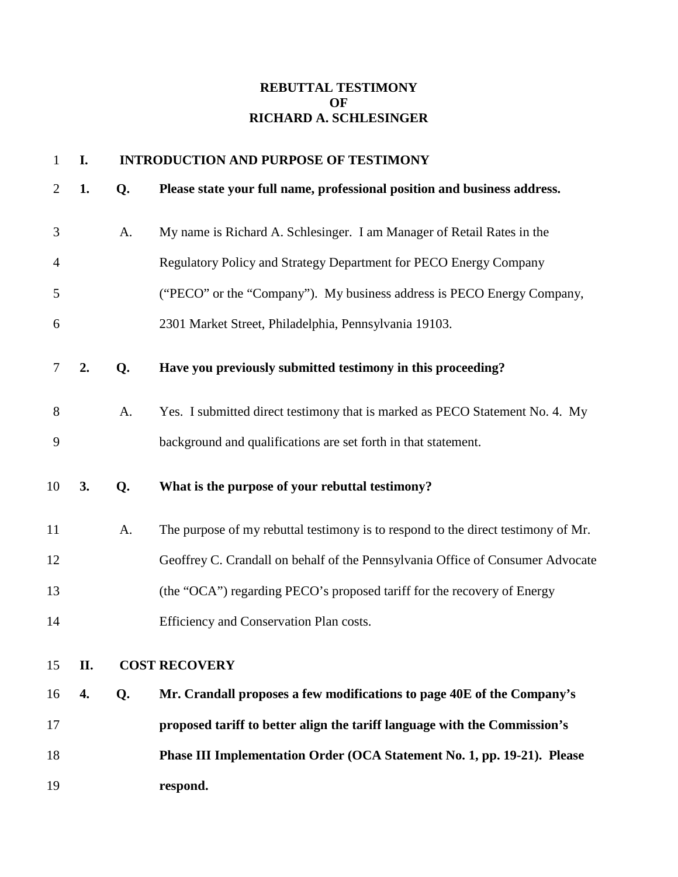## **REBUTTAL TESTIMONY OF RICHARD A. SCHLESINGER**

| $\mathbf{1}$   | I. |    | <b>INTRODUCTION AND PURPOSE OF TESTIMONY</b>                                      |
|----------------|----|----|-----------------------------------------------------------------------------------|
| $\overline{2}$ | 1. | Q. | Please state your full name, professional position and business address.          |
| 3              |    | A. | My name is Richard A. Schlesinger. I am Manager of Retail Rates in the            |
| 4              |    |    | Regulatory Policy and Strategy Department for PECO Energy Company                 |
| 5              |    |    | ("PECO" or the "Company"). My business address is PECO Energy Company,            |
| 6              |    |    | 2301 Market Street, Philadelphia, Pennsylvania 19103.                             |
| 7              | 2. | Q. | Have you previously submitted testimony in this proceeding?                       |
| 8              |    | A. | Yes. I submitted direct testimony that is marked as PECO Statement No. 4. My      |
| 9              |    |    | background and qualifications are set forth in that statement.                    |
| 10             | 3. | Q. | What is the purpose of your rebuttal testimony?                                   |
| 11             |    | A. | The purpose of my rebuttal testimony is to respond to the direct testimony of Mr. |
| 12             |    |    | Geoffrey C. Crandall on behalf of the Pennsylvania Office of Consumer Advocate    |
| 13             |    |    | (the "OCA") regarding PECO's proposed tariff for the recovery of Energy           |
| 14             |    |    | Efficiency and Conservation Plan costs.                                           |
| 15             | П. |    | <b>COST RECOVERY</b>                                                              |
| 16             | 4. | Q. | Mr. Crandall proposes a few modifications to page 40E of the Company's            |
| 17             |    |    | proposed tariff to better align the tariff language with the Commission's         |
| 18             |    |    | Phase III Implementation Order (OCA Statement No. 1, pp. 19-21). Please           |
| 19             |    |    | respond.                                                                          |